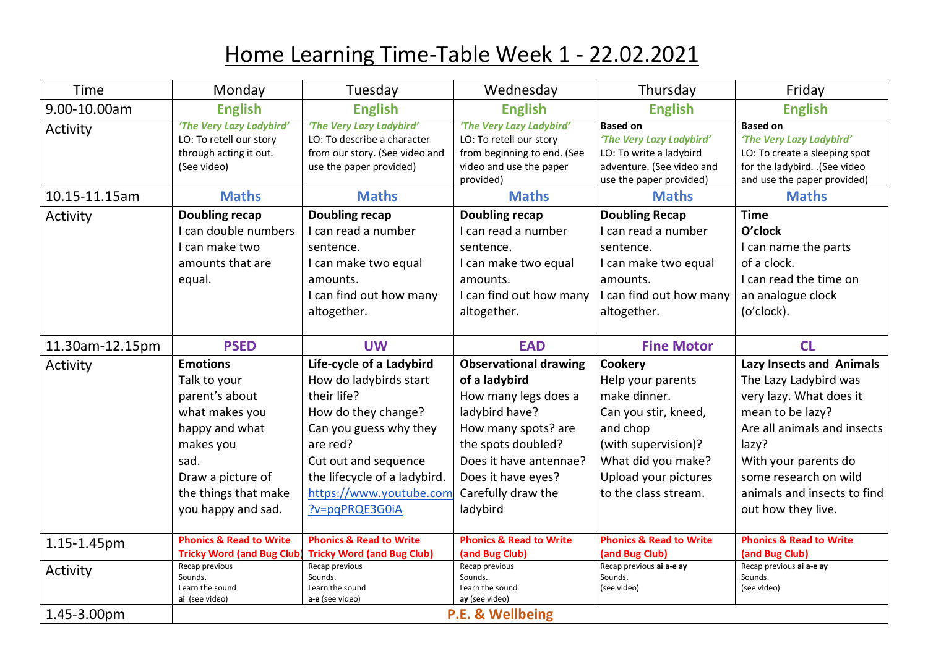## Home Learning Time-Table Week 1 - 22.02.2021

| Time            | Monday                                                                                                                                                                        | Tuesday                                                                                                                                                                                                                             | Wednesday                                                                                                                                                                                                              | Thursday                                                                                                                                                                             | Friday                                                                                                                                                                                                                                                |
|-----------------|-------------------------------------------------------------------------------------------------------------------------------------------------------------------------------|-------------------------------------------------------------------------------------------------------------------------------------------------------------------------------------------------------------------------------------|------------------------------------------------------------------------------------------------------------------------------------------------------------------------------------------------------------------------|--------------------------------------------------------------------------------------------------------------------------------------------------------------------------------------|-------------------------------------------------------------------------------------------------------------------------------------------------------------------------------------------------------------------------------------------------------|
| 9.00-10.00am    | <b>English</b>                                                                                                                                                                | <b>English</b>                                                                                                                                                                                                                      | <b>English</b>                                                                                                                                                                                                         | <b>English</b>                                                                                                                                                                       | <b>English</b>                                                                                                                                                                                                                                        |
| Activity        | 'The Very Lazy Ladybird'<br>LO: To retell our story<br>through acting it out.<br>(See video)                                                                                  | 'The Very Lazy Ladybird'<br>LO: To describe a character<br>from our story. (See video and<br>use the paper provided)                                                                                                                | 'The Very Lazy Ladybird'<br>LO: To retell our story<br>from beginning to end. (See<br>video and use the paper<br>provided)                                                                                             | <b>Based on</b><br>'The Very Lazy Ladybird'<br>LO: To write a ladybird<br>adventure. (See video and<br>use the paper provided)                                                       | <b>Based on</b><br>'The Very Lazy Ladybird'<br>LO: To create a sleeping spot<br>for the ladybird. .(See video<br>and use the paper provided)                                                                                                          |
| 10.15-11.15am   | <b>Maths</b>                                                                                                                                                                  | <b>Maths</b>                                                                                                                                                                                                                        | <b>Maths</b>                                                                                                                                                                                                           | <b>Maths</b>                                                                                                                                                                         | <b>Maths</b>                                                                                                                                                                                                                                          |
| Activity        | <b>Doubling recap</b>                                                                                                                                                         | <b>Doubling recap</b>                                                                                                                                                                                                               | <b>Doubling recap</b>                                                                                                                                                                                                  | <b>Doubling Recap</b>                                                                                                                                                                | <b>Time</b>                                                                                                                                                                                                                                           |
|                 | I can double numbers<br>I can make two<br>amounts that are<br>equal.                                                                                                          | I can read a number<br>sentence.<br>I can make two equal<br>amounts.<br>I can find out how many<br>altogether.                                                                                                                      | I can read a number<br>sentence.<br>I can make two equal<br>amounts.<br>I can find out how many<br>altogether.                                                                                                         | I can read a number<br>sentence.<br>I can make two equal<br>amounts.<br>I can find out how many<br>altogether.                                                                       | O'clock<br>I can name the parts<br>of a clock.<br>I can read the time on<br>an analogue clock<br>(o'clock).                                                                                                                                           |
| 11.30am-12.15pm | <b>PSED</b>                                                                                                                                                                   | <b>UW</b>                                                                                                                                                                                                                           | <b>EAD</b>                                                                                                                                                                                                             | <b>Fine Motor</b>                                                                                                                                                                    | CL                                                                                                                                                                                                                                                    |
| Activity        | <b>Emotions</b><br>Talk to your<br>parent's about<br>what makes you<br>happy and what<br>makes you<br>sad.<br>Draw a picture of<br>the things that make<br>you happy and sad. | Life-cycle of a Ladybird<br>How do ladybirds start<br>their life?<br>How do they change?<br>Can you guess why they<br>are red?<br>Cut out and sequence<br>the lifecycle of a ladybird.<br>https://www.youtube.com<br>?v=pqPRQE3G0iA | <b>Observational drawing</b><br>of a ladybird<br>How many legs does a<br>ladybird have?<br>How many spots? are<br>the spots doubled?<br>Does it have antennae?<br>Does it have eyes?<br>Carefully draw the<br>ladybird | <b>Cookery</b><br>Help your parents<br>make dinner.<br>Can you stir, kneed,<br>and chop<br>(with supervision)?<br>What did you make?<br>Upload your pictures<br>to the class stream. | <b>Lazy Insects and Animals</b><br>The Lazy Ladybird was<br>very lazy. What does it<br>mean to be lazy?<br>Are all animals and insects<br>lazy?<br>With your parents do<br>some research on wild<br>animals and insects to find<br>out how they live. |
| 1.15-1.45pm     | <b>Phonics &amp; Read to Write</b><br><b>Tricky Word (and Bug Club)</b>                                                                                                       | <b>Phonics &amp; Read to Write</b><br><b>Tricky Word (and Bug Club)</b>                                                                                                                                                             | <b>Phonics &amp; Read to Write</b><br>(and Bug Club)                                                                                                                                                                   | <b>Phonics &amp; Read to Write</b><br>(and Bug Club)                                                                                                                                 | <b>Phonics &amp; Read to Write</b><br>(and Bug Club)                                                                                                                                                                                                  |
| Activity        | Recap previous<br>Sounds.<br>Learn the sound<br>ai (see video)                                                                                                                | Recap previous<br>Sounds.<br>Learn the sound<br>a-e (see video)                                                                                                                                                                     | Recap previous<br>Sounds.<br>Learn the sound<br>ay (see video)                                                                                                                                                         | Recap previous ai a-e ay<br>Sounds.<br>(see video)                                                                                                                                   | Recap previous ai a-e ay<br>Sounds.<br>(see video)                                                                                                                                                                                                    |
| 1.45-3.00pm     |                                                                                                                                                                               |                                                                                                                                                                                                                                     | P.E. & Wellbeing                                                                                                                                                                                                       |                                                                                                                                                                                      |                                                                                                                                                                                                                                                       |